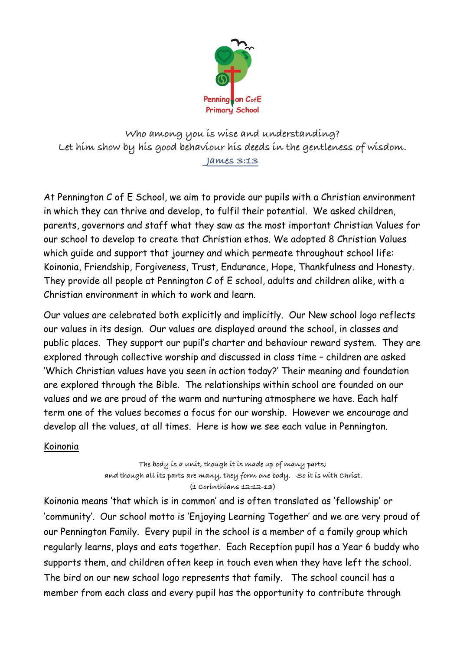

**Who among you is wise and understanding? Let him show by his good behaviour his deeds in the gentleness of wisdom. James 3:13**

At Pennington C of E School, we aim to provide our pupils with a Christian environment in which they can thrive and develop, to fulfil their potential. We asked children, parents, governors and staff what they saw as the most important Christian Values for our school to develop to create that Christian ethos. We adopted 8 Christian Values which guide and support that journey and which permeate throughout school life: Koinonia, Friendship, Forgiveness, Trust, Endurance, Hope, Thankfulness and Honesty. They provide all people at Pennington C of E school, adults and children alike, with a Christian environment in which to work and learn.

Our values are celebrated both explicitly and implicitly. Our New school logo reflects our values in its design. Our values are displayed around the school, in classes and public places. They support our pupil's charter and behaviour reward system. They are explored through collective worship and discussed in class time – children are asked 'Which Christian values have you seen in action today?' Their meaning and foundation are explored through the Bible. The relationships within school are founded on our values and we are proud of the warm and nurturing atmosphere we have. Each half term one of the values becomes a focus for our worship. However we encourage and develop all the values, at all times. Here is how we see each value in Pennington.

# Koinonia

**The body is a unit, though it is made up of many parts; and though all its parts are many, they form one body. So it is with Christ. (1 Corinthians 12:12-13)**

Koinonia means 'that which is in common' and is often translated as 'fellowship' or 'community'. Our school motto is 'Enjoying Learning Together' and we are very proud of our Pennington Family. Every pupil in the school is a member of a family group which regularly learns, plays and eats together. Each Reception pupil has a Year 6 buddy who supports them, and children often keep in touch even when they have left the school. The bird on our new school logo represents that family. The school council has a member from each class and every pupil has the opportunity to contribute through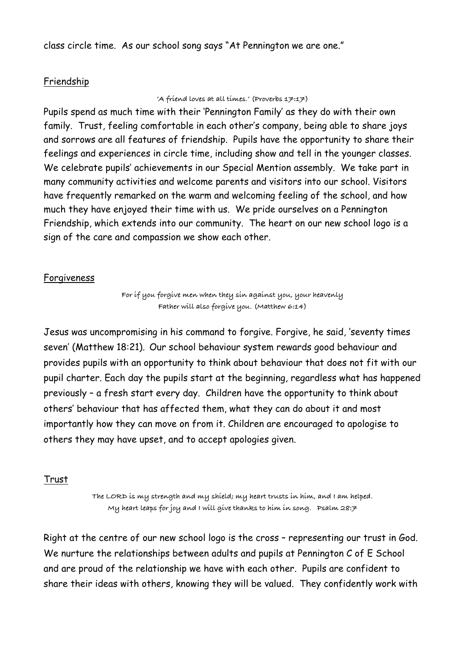class circle time. As our school song says "At Pennington we are one."

## Friendship

#### **'A friend loves at all times.' (Proverbs 17:17)**

Pupils spend as much time with their 'Pennington Family' as they do with their own family. Trust, feeling comfortable in each other's company, being able to share joys and sorrows are all features of friendship. Pupils have the opportunity to share their feelings and experiences in circle time, including show and tell in the younger classes. We celebrate pupils' achievements in our Special Mention assembly. We take part in many community activities and welcome parents and visitors into our school. Visitors have frequently remarked on the warm and welcoming feeling of the school, and how much they have enjoyed their time with us. We pride ourselves on a Pennington Friendship, which extends into our community. The heart on our new school logo is a sign of the care and compassion we show each other.

## Forgiveness

**For if you forgive men when they sin against you, your heavenly Father will also forgive you. (Matthew 6:14)** 

Jesus was uncompromising in his command to forgive. Forgive, he said, 'seventy times seven' (Matthew 18:21). Our school behaviour system rewards good behaviour and provides pupils with an opportunity to think about behaviour that does not fit with our pupil charter. Each day the pupils start at the beginning, regardless what has happened previously – a fresh start every day. Children have the opportunity to think about others' behaviour that has affected them, what they can do about it and most importantly how they can move on from it. Children are encouraged to apologise to others they may have upset, and to accept apologies given.

# Trust

**The LORD is my strength and my shield; my heart trusts in him, and I am helped. My heart leaps for joy and I will give thanks to him in song. Psalm 28:7** 

Right at the centre of our new school logo is the cross – representing our trust in God. We nurture the relationships between adults and pupils at Pennington C of E School and are proud of the relationship we have with each other. Pupils are confident to share their ideas with others, knowing they will be valued. They confidently work with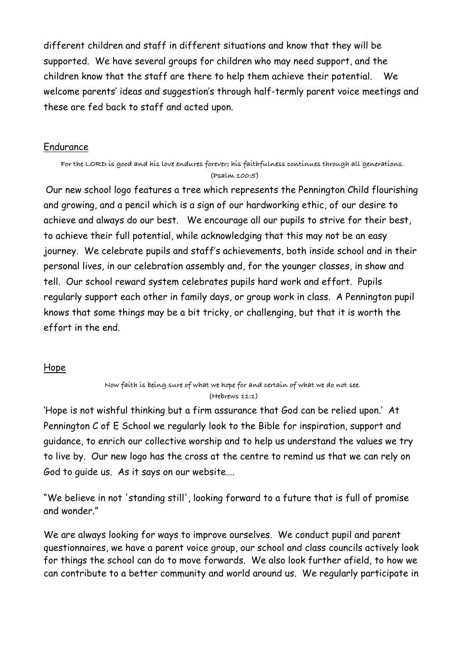different children and staff in different situations and know that they will be supported. We have several groups for children who may need support, and the children know that the staff are there to help them achieve their potential. We welcome parents' ideas and suggestion's through half-termly parent voice meetings and these are fed back to staff and acted upon.

### Endurance

**For the LORD is good and his love endures forever; his faithfulness continues through all generations. (Psalm 100:5)**

Our new school logo features a tree which represents the Pennington Child flourishing and growing, and a pencil which is a sign of our hardworking ethic, of our desire to achieve and always do our best. We encourage all our pupils to strive for their best, to achieve their full potential, while acknowledging that this may not be an easy journey. We celebrate pupils and staff's achievements, both inside school and in their personal lives, in our celebration assembly and, for the younger classes, in show and tell. Our school reward system celebrates pupils hard work and effort. Pupils regularly support each other in family days, or group work in class. A Pennington pupil knows that some things may be a bit tricky, or challenging, but that it is worth the effort in the end.

# Hope

**Now faith is being sure of what we hope for and certain of what we do not see. (Hebrews 11:1)**

'Hope is not wishful thinking but a firm assurance that God can be relied upon.' At Pennington C of E School we regularly look to the Bible for inspiration, support and guidance, to enrich our collective worship and to help us understand the values we try to live by. Our new logo has the cross at the centre to remind us that we can rely on God to guide us. As it says on our website….

"We believe in not 'standing still', looking forward to a future that is full of promise and wonder."

We are always looking for ways to improve ourselves. We conduct pupil and parent questionnaires, we have a parent voice group, our school and class councils actively look for things the school can do to move forwards. We also look further afield, to how we can contribute to a better community and world around us. We regularly participate in